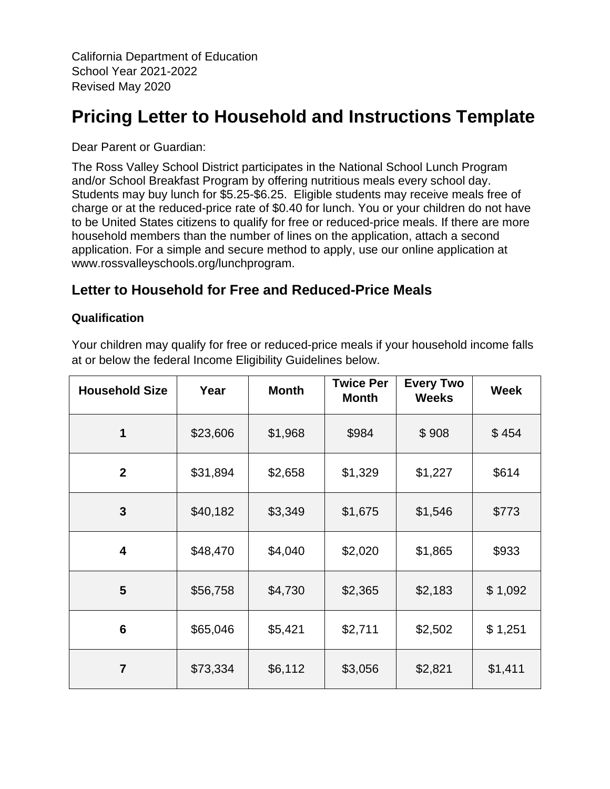California Department of Education School Year 2021-2022 Revised May 2020

# **Pricing Letter to Household and Instructions Template**

Dear Parent or Guardian:

The Ross Valley School District participates in the National School Lunch Program and/or School Breakfast Program by offering nutritious meals every school day. Students may buy lunch for \$5.25-\$6.25. Eligible students may receive meals free of charge or at the reduced-price rate of \$0.40 for lunch. You or your children do not have to be United States citizens to qualify for free or reduced-price meals. If there are more household members than the number of lines on the application, attach a second application. For a simple and secure method to apply, use our online application at www.rossvalleyschools.org/lunchprogram.

# **Letter to Household for Free and Reduced-Price Meals**

#### **Qualification**

Your children may qualify for free or reduced-price meals if your household income falls at or below the federal Income Eligibility Guidelines below.

| <b>Household Size</b> | Year     | <b>Month</b> | <b>Twice Per</b><br><b>Month</b> | <b>Every Two</b><br><b>Weeks</b> | <b>Week</b> |
|-----------------------|----------|--------------|----------------------------------|----------------------------------|-------------|
| $\mathbf 1$           | \$23,606 | \$1,968      | \$984                            | \$908                            | \$454       |
| $\mathbf{2}$          | \$31,894 | \$2,658      | \$1,329                          | \$1,227                          | \$614       |
| 3                     | \$40,182 | \$3,349      | \$1,675                          | \$1,546                          | \$773       |
| 4                     | \$48,470 | \$4,040      | \$2,020                          | \$1,865                          | \$933       |
| 5                     | \$56,758 | \$4,730      | \$2,365                          | \$2,183                          | \$1,092     |
| $6\phantom{1}6$       | \$65,046 | \$5,421      | \$2,711                          | \$2,502                          | \$1,251     |
| $\overline{7}$        | \$73,334 | \$6,112      | \$3,056                          | \$2,821                          | \$1,411     |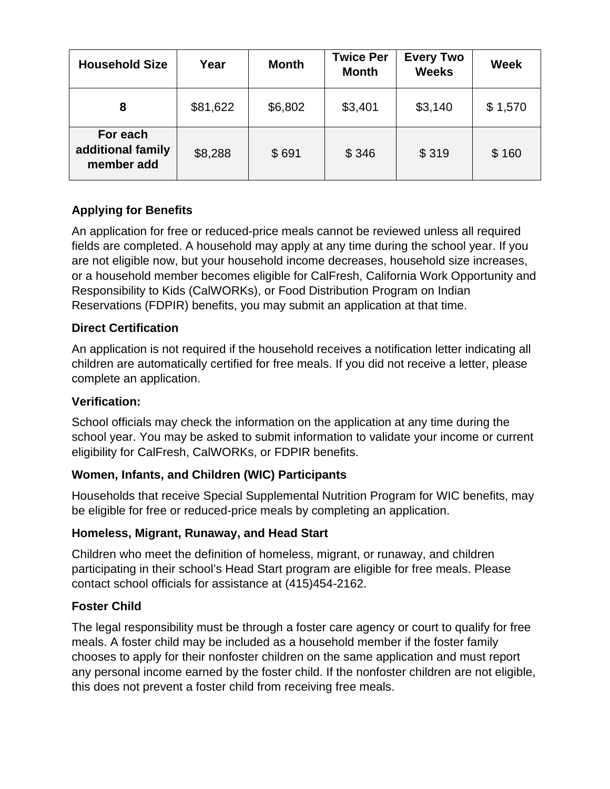| <b>Household Size</b>                       | Year     | <b>Month</b> | <b>Twice Per</b><br><b>Month</b> | <b>Every Two</b><br><b>Weeks</b> | <b>Week</b> |
|---------------------------------------------|----------|--------------|----------------------------------|----------------------------------|-------------|
| 8                                           | \$81,622 | \$6,802      | \$3,401                          | \$3,140                          | \$1,570     |
| For each<br>additional family<br>member add | \$8,288  | \$691        | \$346                            | \$319                            | \$160       |

# **Applying for Benefits**

An application for free or reduced-price meals cannot be reviewed unless all required fields are completed. A household may apply at any time during the school year. If you are not eligible now, but your household income decreases, household size increases, or a household member becomes eligible for CalFresh, California Work Opportunity and Responsibility to Kids (CalWORKs), or Food Distribution Program on Indian Reservations (FDPIR) benefits, you may submit an application at that time.

#### **Direct Certification**

An application is not required if the household receives a notification letter indicating all children are automatically certified for free meals. If you did not receive a letter, please complete an application.

#### **Verification:**

School officials may check the information on the application at any time during the school year. You may be asked to submit information to validate your income or current eligibility for CalFresh, CalWORKs, or FDPIR benefits.

# **Women, Infants, and Children (WIC) Participants**

Households that receive Special Supplemental Nutrition Program for WIC benefits, may be eligible for free or reduced-price meals by completing an application.

# **Homeless, Migrant, Runaway, and Head Start**

Children who meet the definition of homeless, migrant, or runaway, and children participating in their school's Head Start program are eligible for free meals. Please contact school officials for assistance at (415)454-2162.

# **Foster Child**

The legal responsibility must be through a foster care agency or court to qualify for free meals. A foster child may be included as a household member if the foster family chooses to apply for their nonfoster children on the same application and must report any personal income earned by the foster child. If the nonfoster children are not eligible, this does not prevent a foster child from receiving free meals.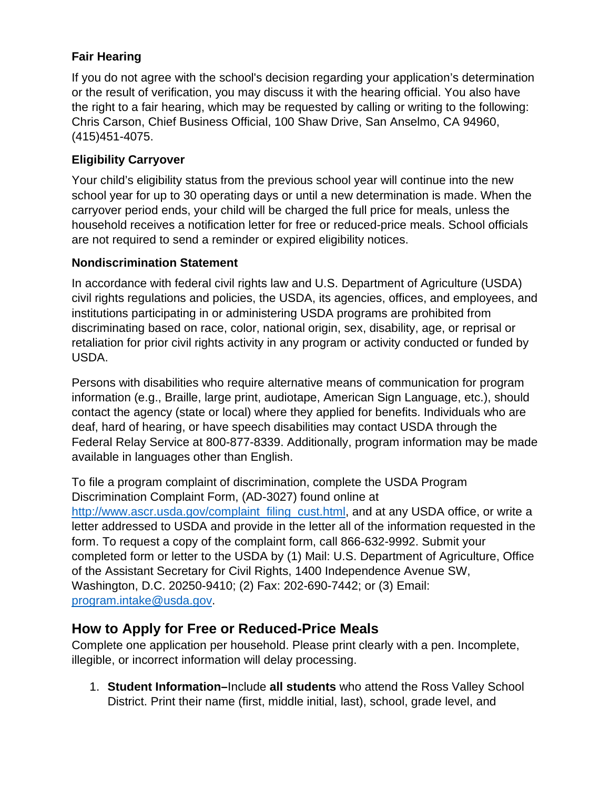# **Fair Hearing**

If you do not agree with the school's decision regarding your application's determination or the result of verification, you may discuss it with the hearing official. You also have the right to a fair hearing, which may be requested by calling or writing to the following: Chris Carson, Chief Business Official, 100 Shaw Drive, San Anselmo, CA 94960, (415)451-4075.

### **Eligibility Carryover**

Your child's eligibility status from the previous school year will continue into the new school year for up to 30 operating days or until a new determination is made. When the carryover period ends, your child will be charged the full price for meals, unless the household receives a notification letter for free or reduced-price meals. School officials are not required to send a reminder or expired eligibility notices.

#### **Nondiscrimination Statement**

In accordance with federal civil rights law and U.S. Department of Agriculture (USDA) civil rights regulations and policies, the USDA, its agencies, offices, and employees, and institutions participating in or administering USDA programs are prohibited from discriminating based on race, color, national origin, sex, disability, age, or reprisal or retaliation for prior civil rights activity in any program or activity conducted or funded by USDA.

Persons with disabilities who require alternative means of communication for program information (e.g., Braille, large print, audiotape, American Sign Language, etc.), should contact the agency (state or local) where they applied for benefits. Individuals who are deaf, hard of hearing, or have speech disabilities may contact USDA through the Federal Relay Service at 800-877-8339. Additionally, program information may be made available in languages other than English.

To file a program complaint of discrimination, complete the USDA Program Discrimination Complaint Form, (AD-3027) found online at [http://www.ascr.usda.gov/complaint\\_filing\\_cust.html,](http://www.ascr.usda.gov/complaint_filing_cust.html) and at any USDA office, or write a letter addressed to USDA and provide in the letter all of the information requested in the form. To request a copy of the complaint form, call 866-632-9992. Submit your completed form or letter to the USDA by (1) Mail: U.S. Department of Agriculture, Office of the Assistant Secretary for Civil Rights, 1400 Independence Avenue SW, Washington, D.C. 20250-9410; (2) Fax: 202-690-7442; or (3) Email: [program.intake@usda.gov.](mailto:program.intake@usda.gov)

# **How to Apply for Free or Reduced-Price Meals**

Complete one application per household. Please print clearly with a pen. Incomplete, illegible, or incorrect information will delay processing.

1. **Student Information–**Include **all students** who attend the Ross Valley School District. Print their name (first, middle initial, last), school, grade level, and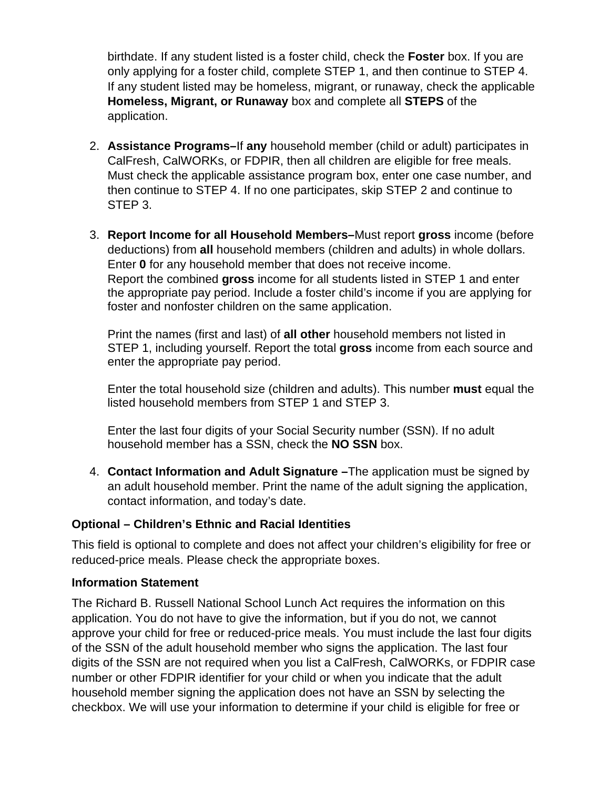birthdate. If any student listed is a foster child, check the **Foster** box. If you are only applying for a foster child, complete STEP 1, and then continue to STEP 4. If any student listed may be homeless, migrant, or runaway, check the applicable **Homeless, Migrant, or Runaway** box and complete all **STEPS** of the application.

- 2. **Assistance Programs–**If **any** household member (child or adult) participates in CalFresh, CalWORKs, or FDPIR, then all children are eligible for free meals. Must check the applicable assistance program box, enter one case number, and then continue to STEP 4. If no one participates, skip STEP 2 and continue to STEP 3.
- 3. **Report Income for all Household Members–**Must report **gross** income (before deductions) from **all** household members (children and adults) in whole dollars. Enter **0** for any household member that does not receive income. Report the combined **gross** income for all students listed in STEP 1 and enter the appropriate pay period. Include a foster child's income if you are applying for foster and nonfoster children on the same application.

Print the names (first and last) of **all other** household members not listed in STEP 1, including yourself. Report the total **gross** income from each source and enter the appropriate pay period.

Enter the total household size (children and adults). This number **must** equal the listed household members from STEP 1 and STEP 3.

Enter the last four digits of your Social Security number (SSN). If no adult household member has a SSN, check the **NO SSN** box.

4. **Contact Information and Adult Signature –**The application must be signed by an adult household member. Print the name of the adult signing the application, contact information, and today's date.

#### **Optional – Children's Ethnic and Racial Identities**

This field is optional to complete and does not affect your children's eligibility for free or reduced-price meals. Please check the appropriate boxes.

#### **Information Statement**

The Richard B. Russell National School Lunch Act requires the information on this application. You do not have to give the information, but if you do not, we cannot approve your child for free or reduced-price meals. You must include the last four digits of the SSN of the adult household member who signs the application. The last four digits of the SSN are not required when you list a CalFresh, CalWORKs, or FDPIR case number or other FDPIR identifier for your child or when you indicate that the adult household member signing the application does not have an SSN by selecting the checkbox. We will use your information to determine if your child is eligible for free or